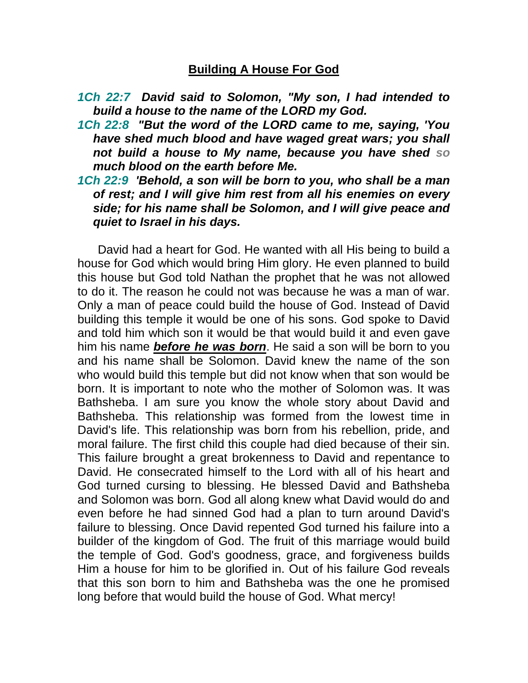## **Building A House For God**

- *1Ch 22:7 David said to Solomon, "My son, I had intended to build a house to the name of the LORD my God.*
- *1Ch 22:8 "But the word of the LORD came to me, saying, 'You have shed much blood and have waged great wars; you shall not build a house to My name, because you have shed so much blood on the earth before Me.*
- *1Ch 22:9 'Behold, a son will be born to you, who shall be a man of rest; and I will give him rest from all his enemies on every side; for his name shall be Solomon, and I will give peace and quiet to Israel in his days.*

 David had a heart for God. He wanted with all His being to build a house for God which would bring Him glory. He even planned to build this house but God told Nathan the prophet that he was not allowed to do it. The reason he could not was because he was a man of war. Only a man of peace could build the house of God. Instead of David building this temple it would be one of his sons. God spoke to David and told him which son it would be that would build it and even gave him his name *before he was born*. He said a son will be born to you and his name shall be Solomon. David knew the name of the son who would build this temple but did not know when that son would be born. It is important to note who the mother of Solomon was. It was Bathsheba. I am sure you know the whole story about David and Bathsheba. This relationship was formed from the lowest time in David's life. This relationship was born from his rebellion, pride, and moral failure. The first child this couple had died because of their sin. This failure brought a great brokenness to David and repentance to David. He consecrated himself to the Lord with all of his heart and God turned cursing to blessing. He blessed David and Bathsheba and Solomon was born. God all along knew what David would do and even before he had sinned God had a plan to turn around David's failure to blessing. Once David repented God turned his failure into a builder of the kingdom of God. The fruit of this marriage would build the temple of God. God's goodness, grace, and forgiveness builds Him a house for him to be glorified in. Out of his failure God reveals that this son born to him and Bathsheba was the one he promised long before that would build the house of God. What mercy!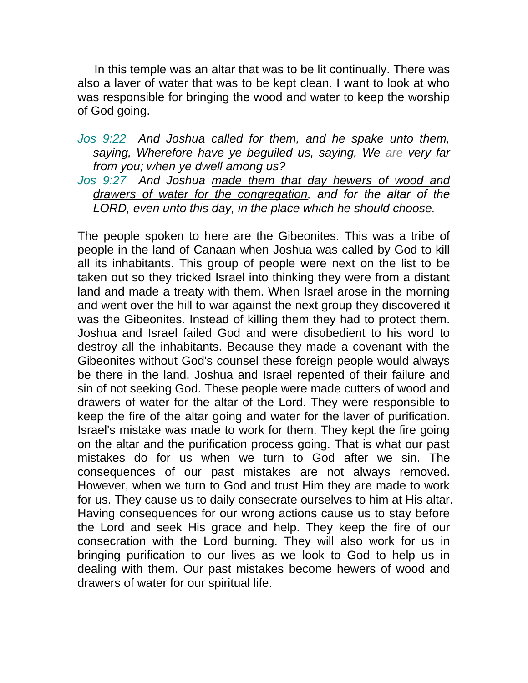In this temple was an altar that was to be lit continually. There was also a laver of water that was to be kept clean. I want to look at who was responsible for bringing the wood and water to keep the worship of God going.

- *Jos 9:22 And Joshua called for them, and he spake unto them, saying, Wherefore have ye beguiled us, saying, We are very far from you; when ye dwell among us?*
- *Jos 9:27 And Joshua made them that day hewers of wood and drawers of water for the congregation, and for the altar of the LORD, even unto this day, in the place which he should choose.*

The people spoken to here are the Gibeonites. This was a tribe of people in the land of Canaan when Joshua was called by God to kill all its inhabitants. This group of people were next on the list to be taken out so they tricked Israel into thinking they were from a distant land and made a treaty with them. When Israel arose in the morning and went over the hill to war against the next group they discovered it was the Gibeonites. Instead of killing them they had to protect them. Joshua and Israel failed God and were disobedient to his word to destroy all the inhabitants. Because they made a covenant with the Gibeonites without God's counsel these foreign people would always be there in the land. Joshua and Israel repented of their failure and sin of not seeking God. These people were made cutters of wood and drawers of water for the altar of the Lord. They were responsible to keep the fire of the altar going and water for the laver of purification. Israel's mistake was made to work for them. They kept the fire going on the altar and the purification process going. That is what our past mistakes do for us when we turn to God after we sin. The consequences of our past mistakes are not always removed. However, when we turn to God and trust Him they are made to work for us. They cause us to daily consecrate ourselves to him at His altar. Having consequences for our wrong actions cause us to stay before the Lord and seek His grace and help. They keep the fire of our consecration with the Lord burning. They will also work for us in bringing purification to our lives as we look to God to help us in dealing with them. Our past mistakes become hewers of wood and drawers of water for our spiritual life.